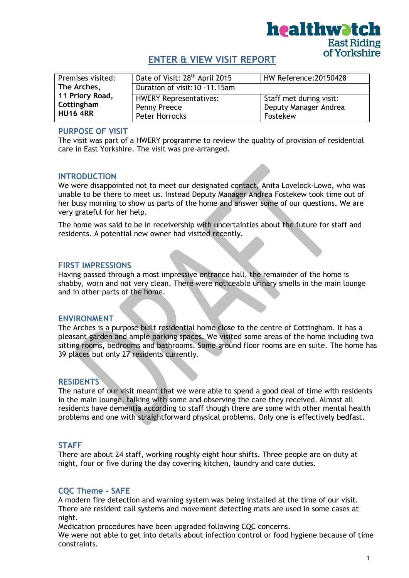

# ENTER & VIEW VISIT REPORT

| Premises visited: | Date of Visit: 28 <sup>th</sup> April 2015 | HW Reference: 20150428  |
|-------------------|--------------------------------------------|-------------------------|
| The Arches,       | Duration of visit: 10 - 11.15am            |                         |
| 11 Priory Road,   | <b>HWERY Representatives:</b>              | Staff met during visit: |
| Cottingham        | Penny Preece                               | Deputy Manager Andrea   |
| <b>HU16 4RR</b>   | <b>Peter Horrocks</b>                      | Fostekew                |

### PURPOSE OF VISIT

The visit was part of a HWERY programme to review the quality of provision of residential care in East Yorkshire. The visit was pre-arranged.

## INTRODUCTION

We were disappointed not to meet our designated contact, Anita Lovelock-Lowe, who was unable to be there to meet us. Instead Deputy Manager Andrea Fostekew took time out of her busy morning to show us parts of the home and answer some of our questions. We are very grateful for her help.

The home was said to be in receivership with uncertainties about the future for staff and residents. A potential new owner had visited recently.

### FIRST IMPRESSIONS

Having passed through a most impressive entrance hall, the remainder of the home is shabby, worn and not very clean. There were noticeable urinary smells in the main lounge and in other parts of the home.

### ENVIRONMENT

The Arches is a purpose built residential home close to the centre of Cottingham. It has a pleasant garden and ample parking spaces. We visited some areas of the home including two sitting rooms, bedrooms and bathrooms. Some ground floor rooms are en suite. The home has 39 places but only 27 residents currently.

### **RESIDENTS**

The nature of our visit meant that we were able to spend a good deal of time with residents in the main lounge, talking with some and observing the care they received. Almost all residents have dementia according to staff though there are some with other mental health problems and one with straightforward physical problems. Only one is effectively bedfast.

### **STAFF**

There are about 24 staff, working roughly eight hour shifts. Three people are on duty at night, four or five during the day covering kitchen, laundry and care duties.

## CQC Theme - SAFE

A modern fire detection and warning system was being installed at the time of our visit. There are resident call systems and movement detecting mats are used in some cases at night.

Medication procedures have been upgraded following CQC concerns.

We were not able to get into details about infection control or food hygiene because of time constraints.